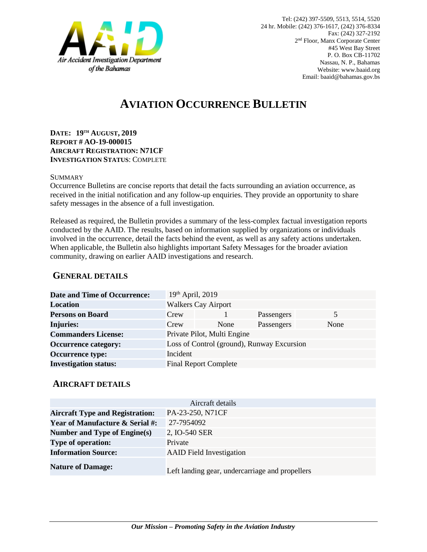

# **AVIATION OCCURRENCE BULLETIN**

**DATE: 19TH AUGUST, 2019 REPORT # AO-19-000015 AIRCRAFT REGISTRATION: N71CF INVESTIGATION STATUS**: COMPLETE

#### **SUMMARY**

Occurrence Bulletins are concise reports that detail the facts surrounding an aviation occurrence, as received in the initial notification and any follow-up enquiries. They provide an opportunity to share safety messages in the absence of a full investigation*.*

Released as required, the Bulletin provides a summary of the less-complex factual investigation reports conducted by the AAID. The results, based on information supplied by organizations or individuals involved in the occurrence, detail the facts behind the event, as well as any safety actions undertaken. When applicable, the Bulletin also highlights important Safety Messages for the broader aviation community, drawing on earlier AAID investigations and research.

### **GENERAL DETAILS**

| <b>Date and Time of Occurrence:</b> | $19th$ April, 2019         |                                            |            |      |
|-------------------------------------|----------------------------|--------------------------------------------|------------|------|
| <b>Location</b>                     | <b>Walkers Cay Airport</b> |                                            |            |      |
| <b>Persons on Board</b>             | Crew                       |                                            | Passengers | 5    |
| <b>Injuries:</b>                    | Crew                       | None                                       | Passengers | None |
| <b>Commanders License:</b>          |                            | Private Pilot, Multi Engine                |            |      |
| <b>Occurrence category:</b>         |                            | Loss of Control (ground), Runway Excursion |            |      |
| <b>Occurrence type:</b>             | Incident                   |                                            |            |      |
| <b>Investigation status:</b>        |                            | <b>Final Report Complete</b>               |            |      |

#### **AIRCRAFT DETAILS**

| Aircraft details                           |                                                 |  |  |  |
|--------------------------------------------|-------------------------------------------------|--|--|--|
| <b>Aircraft Type and Registration:</b>     | PA-23-250, N71CF                                |  |  |  |
| <b>Year of Manufacture &amp; Serial #:</b> | 27-7954092                                      |  |  |  |
| Number and Type of Engine(s)               | 2, IO-540 SER                                   |  |  |  |
| <b>Type of operation:</b>                  | Private                                         |  |  |  |
| <b>Information Source:</b>                 | <b>AAID</b> Field Investigation                 |  |  |  |
| <b>Nature of Damage:</b>                   | Left landing gear, undercarriage and propellers |  |  |  |